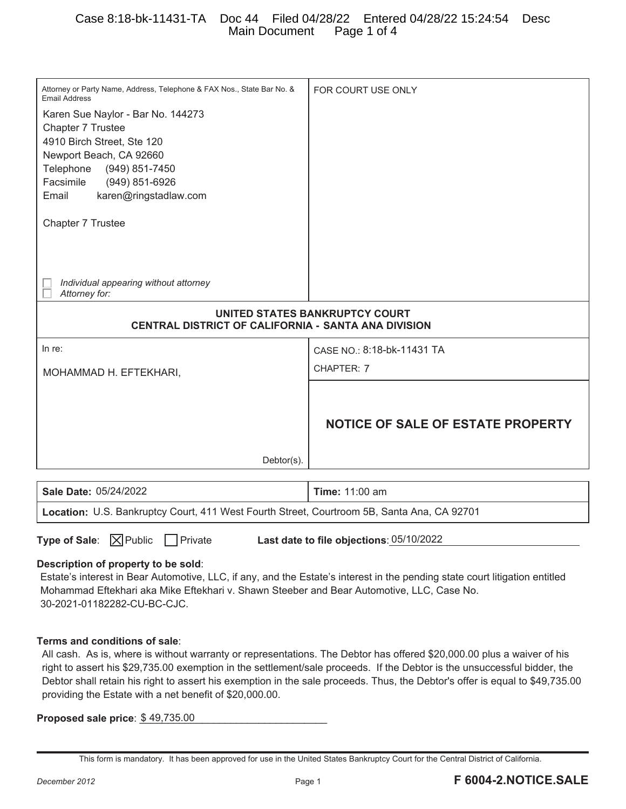### Case 8:18-bk-11431-TA Doc 44 Filed 04/28/22 Entered 04/28/22 15:24:54 Desc Main Document Page 1 of 4

| Attorney or Party Name, Address, Telephone & FAX Nos., State Bar No. &<br><b>Email Address</b>                                                                                                                                                                                                                                                                                                                                                                                 | FOR COURT USE ONLY                       |
|--------------------------------------------------------------------------------------------------------------------------------------------------------------------------------------------------------------------------------------------------------------------------------------------------------------------------------------------------------------------------------------------------------------------------------------------------------------------------------|------------------------------------------|
| Karen Sue Naylor - Bar No. 144273                                                                                                                                                                                                                                                                                                                                                                                                                                              |                                          |
| Chapter 7 Trustee                                                                                                                                                                                                                                                                                                                                                                                                                                                              |                                          |
| 4910 Birch Street, Ste 120                                                                                                                                                                                                                                                                                                                                                                                                                                                     |                                          |
| Newport Beach, CA 92660                                                                                                                                                                                                                                                                                                                                                                                                                                                        |                                          |
| Telephone<br>(949) 851-7450                                                                                                                                                                                                                                                                                                                                                                                                                                                    |                                          |
| Facsimile<br>(949) 851-6926                                                                                                                                                                                                                                                                                                                                                                                                                                                    |                                          |
| Email<br>karen@ringstadlaw.com                                                                                                                                                                                                                                                                                                                                                                                                                                                 |                                          |
| Chapter 7 Trustee                                                                                                                                                                                                                                                                                                                                                                                                                                                              |                                          |
| Individual appearing without attorney<br>Attorney for:                                                                                                                                                                                                                                                                                                                                                                                                                         |                                          |
| UNITED STATES BANKRUPTCY COURT<br>CENTRAL DISTRICT OF CALIFORNIA - SANTA ANA DIVISION                                                                                                                                                                                                                                                                                                                                                                                          |                                          |
| In re:                                                                                                                                                                                                                                                                                                                                                                                                                                                                         | CASE NO.: 8:18-bk-11431 TA               |
|                                                                                                                                                                                                                                                                                                                                                                                                                                                                                | CHAPTER: 7                               |
| MOHAMMAD H. EFTEKHARI,                                                                                                                                                                                                                                                                                                                                                                                                                                                         |                                          |
| Debtor(s).                                                                                                                                                                                                                                                                                                                                                                                                                                                                     | <b>NOTICE OF SALE OF ESTATE PROPERTY</b> |
|                                                                                                                                                                                                                                                                                                                                                                                                                                                                                |                                          |
| Sale Date: 05/24/2022                                                                                                                                                                                                                                                                                                                                                                                                                                                          | <b>Time: 11:00 am</b>                    |
| Location: U.S. Bankruptcy Court, 411 West Fourth Street, Courtroom 5B, Santa Ana, CA 92701                                                                                                                                                                                                                                                                                                                                                                                     |                                          |
| $\mathsf{\overline{X}}$ Public<br>Type of Sale:<br>Private<br>Last date to file objections: 05/10/2022<br>Description of property to be sold:<br>Estate's interest in Bear Automotive, LLC, if any, and the Estate's interest in the pending state court litigation entitled<br>Mohammad Eftekhari aka Mike Eftekhari v. Shawn Steeber and Bear Automotive, LLC, Case No.<br>30-2021-01182282-CU-BC-CJC.                                                                       |                                          |
| Terms and conditions of sale:<br>All cash. As is, where is without warranty or representations. The Debtor has offered \$20,000.00 plus a waiver of his<br>right to assert his \$29,735.00 exemption in the settlement/sale proceeds. If the Debtor is the unsuccessful bidder, the<br>Debtor shall retain his right to assert his exemption in the sale proceeds. Thus, the Debtor's offer is equal to \$49,735.00<br>providing the Estate with a net benefit of \$20,000.00. |                                          |

**Proposed sale price**:  $$49,735.00$ 

This form is mandatory. It has been approved for use in the United States Bankruptcy Court for the Central District of California.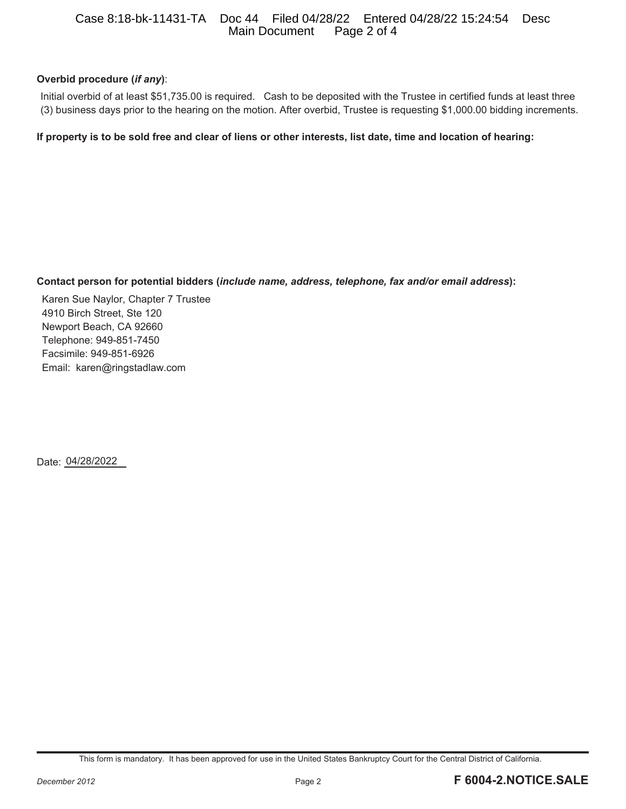#### Case 8:18-bk-11431-TA Doc 44 Filed 04/28/22 Entered 04/28/22 15:24:54 Desc Main Document

#### **Overbid procedure (***if any***)**:

Initial overbid of at least \$51,735.00 is required. Cash to be deposited with the Trustee in certified funds at least three (3) business days prior to the hearing on the motion. After overbid, Trustee is requesting \$1,000.00 bidding increments.

**If property is to be sold free and clear of liens or other interests, list date, time and location of hearing:** 

#### **Contact person for potential bidders (***include name, address, telephone, fax and/or email address***):**

Karen Sue Naylor, Chapter 7 Trustee 4910 Birch Street, Ste 120 Newport Beach, CA 92660 Telephone: 949-851-7450 Facsimile: 949-851-6926 Email: karen@ringstadlaw.com

Date: 04/28/2022

This form is mandatory. It has been approved for use in the United States Bankruptcy Court for the Central District of California.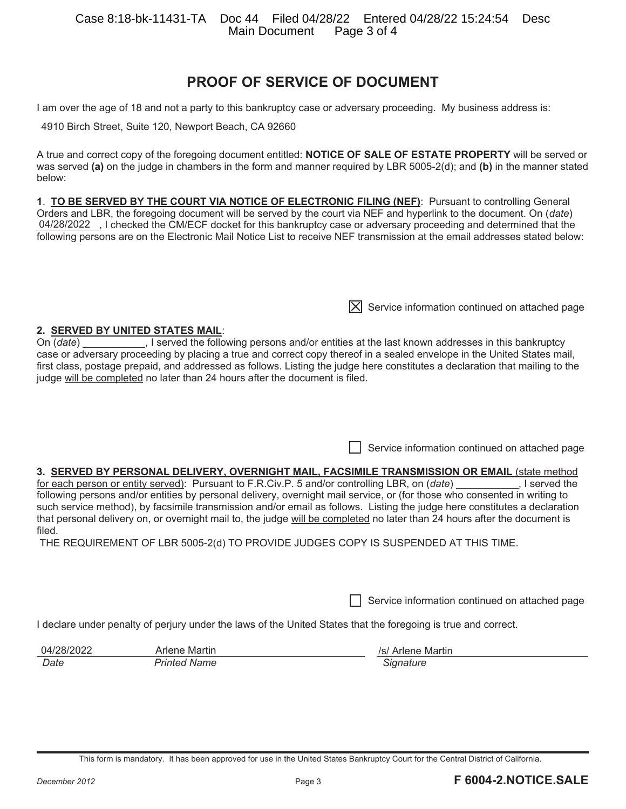# **PROOF OF SERVICE OF DOCUMENT**

I am over the age of 18 and not a party to this bankruptcy case or adversary proceeding. My business address is:

4910 Birch Street, Suite 120, Newport Beach, CA 92660

A true and correct copy of the foregoing document entitled: **NOTICE OF SALE OF ESTATE PROPERTY** will be served or was served **(a)** on the judge in chambers in the form and manner required by LBR 5005-2(d); and **(b)** in the manner stated below:

**1**. **TO BE SERVED BY THE COURT VIA NOTICE OF ELECTRONIC FILING (NEF)**: Pursuant to controlling General Orders and LBR, the foregoing document will be served by the court via NEF and hyperlink to the document. On (*date*) 04/28/2022 , I checked the CM/ECF docket for this bankruptcy case or adversary proceeding and determined that the following persons are on the Electronic Mail Notice List to receive NEF transmission at the email addresses stated below:

**2. SERVED BY UNITED STATES MAIL**: On (*date*) \_\_\_\_\_\_\_\_\_\_\_\_\_, I served the following persons and/or entities at the last known addresses in this bankruptcy case or adversary proceeding by placing a true and correct copy thereof in a sealed envelope in the United States mail, first class, postage prepaid, and addressed as follows. Listing the judge here constitutes a declaration that mailing to the judge will be completed no later than 24 hours after the document is filed.

Service information continued on attached page

 $[X]$  Service information continued on attached page

#### **3. SERVED BY PERSONAL DELIVERY, OVERNIGHT MAIL, FACSIMILE TRANSMISSION OR EMAIL** (state method

for each person or entity served): Pursuant to F.R.Civ.P. 5 and/or controlling LBR, on (*date*) \_\_\_\_\_\_\_\_\_\_, I served the following persons and/or entities by personal delivery, overnight mail service, or (for those who consented in writing to such service method), by facsimile transmission and/or email as follows. Listing the judge here constitutes a declaration that personal delivery on, or overnight mail to, the judge will be completed no later than 24 hours after the document is filed.

THE REQUIREMENT OF LBR 5005-2(d) TO PROVIDE JUDGES COPY IS SUSPENDED AT THIS TIME.

Service information continued on attached page

I declare under penalty of perjury under the laws of the United States that the foregoing is true and correct.

**Date** *Date Printed Name CONDERGISTS <b>Signature Signature* 

04/28/2022 Arlene Martin *Architectus* Arlene Martin *Isl* Arlene Martin

This form is mandatory. It has been approved for use in the United States Bankruptcy Court for the Central District of California.